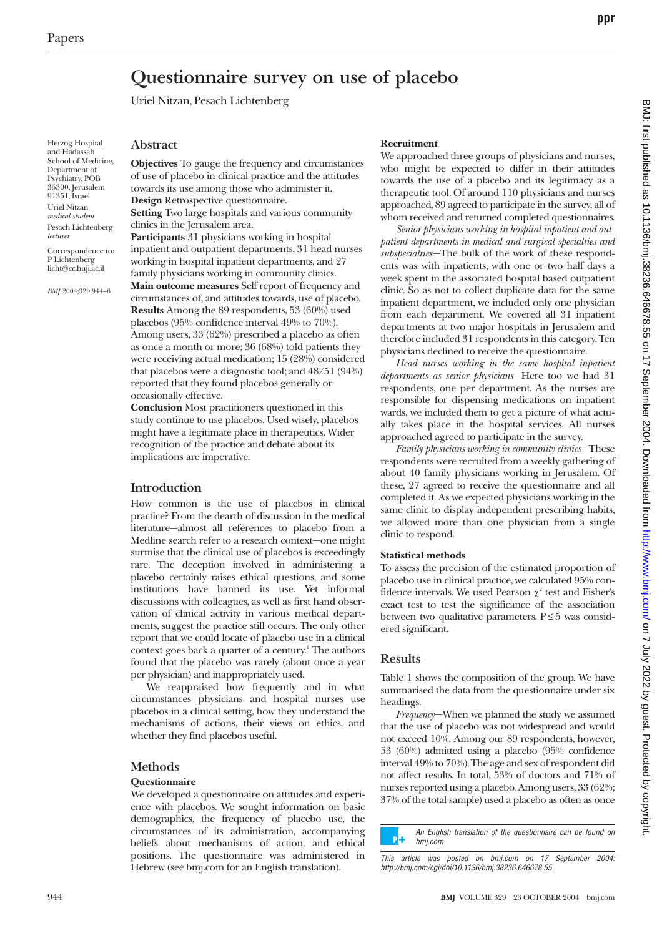# **Questionnaire survey on use of placebo**

Uriel Nitzan, Pesach Lichtenberg

Herzog Hospital and Hadassah School of Medicine, Department of Psychiatry, POB 35300, Jerusalem 91351, Israel Uriel Nitzan *medical student* Pesach Lichtenberg *lecturer*

Correspondence to: P Lichtenberg licht@cc.huji.ac.il

*BMJ* 2004;329:944–6

**Abstract**

**Objectives** To gauge the frequency and circumstances of use of placebo in clinical practice and the attitudes towards its use among those who administer it. **Design** Retrospective questionnaire.

**Setting** Two large hospitals and various community clinics in the Jerusalem area.

**Participants** 31 physicians working in hospital inpatient and outpatient departments, 31 head nurses working in hospital inpatient departments, and 27 family physicians working in community clinics. **Main outcome measures** Self report of frequency and circumstances of, and attitudes towards, use of placebo. **Results** Among the 89 respondents, 53 (60%) used placebos (95% confidence interval 49% to 70%). Among users, 33 (62%) prescribed a placebo as often as once a month or more; 36 (68%) told patients they were receiving actual medication; 15 (28%) considered that placebos were a diagnostic tool; and 48/51 (94%) reported that they found placebos generally or occasionally effective.

**Conclusion** Most practitioners questioned in this study continue to use placebos. Used wisely, placebos might have a legitimate place in therapeutics. Wider recognition of the practice and debate about its implications are imperative.

#### **Introduction**

How common is the use of placebos in clinical practice? From the dearth of discussion in the medical literature—almost all references to placebo from a Medline search refer to a research context—one might surmise that the clinical use of placebos is exceedingly rare. The deception involved in administering a placebo certainly raises ethical questions, and some institutions have banned its use. Yet informal discussions with colleagues, as well as first hand observation of clinical activity in various medical departments, suggest the practice still occurs. The only other report that we could locate of placebo use in a clinical context goes back a quarter of a century.<sup>1</sup> The authors found that the placebo was rarely (about once a year per physician) and inappropriately used.

We reappraised how frequently and in what circumstances physicians and hospital nurses use placebos in a clinical setting, how they understand the mechanisms of actions, their views on ethics, and whether they find placebos useful.

#### **Methods**

#### **Questionnaire**

We developed a questionnaire on attitudes and experience with placebos. We sought information on basic demographics, the frequency of placebo use, the circumstances of its administration, accompanying beliefs about mechanisms of action, and ethical positions. The questionnaire was administered in Hebrew (see bmj.com for an English translation).

#### **Recruitment**

We approached three groups of physicians and nurses, who might be expected to differ in their attitudes towards the use of a placebo and its legitimacy as a therapeutic tool. Of around 110 physicians and nurses approached, 89 agreed to participate in the survey, all of whom received and returned completed questionnaires.

*Senior physicians working in hospital inpatient and outpatient departments in medical and surgical specialties and subspecialties*—The bulk of the work of these respondents was with inpatients, with one or two half days a week spent in the associated hospital based outpatient clinic. So as not to collect duplicate data for the same inpatient department, we included only one physician from each department. We covered all 31 inpatient departments at two major hospitals in Jerusalem and therefore included 31 respondents in this category. Ten physicians declined to receive the questionnaire.

*Head nurses working in the same hospital inpatient departments as senior physicians*—Here too we had 31 respondents, one per department. As the nurses are responsible for dispensing medications on inpatient wards, we included them to get a picture of what actually takes place in the hospital services. All nurses approached agreed to participate in the survey.

*Family physicians working in community clinics*—These respondents were recruited from a weekly gathering of about 40 family physicians working in Jerusalem. Of these, 27 agreed to receive the questionnaire and all completed it. As we expected physicians working in the same clinic to display independent prescribing habits, we allowed more than one physician from a single clinic to respond.

#### **Statistical methods**

To assess the precision of the estimated proportion of placebo use in clinical practice, we calculated 95% confidence intervals. We used Pearson  $\chi^2$  test and Fisher's exact test to test the significance of the association between two qualitative parameters.  $P \le 5$  was considered significant.

## **Results**

Table 1 shows the composition of the group. We have summarised the data from the questionnaire under six headings.

*Frequency*—When we planned the study we assumed that the use of placebo was not widespread and would not exceed 10%. Among our 89 respondents, however, 53 (60%) admitted using a placebo (95% confidence interval 49% to 70%). The age and sex of respondent did not affect results. In total, 53% of doctors and 71% of nurses reported using a placebo. Among users, 33 (62%; 37% of the total sample) used a placebo as often as once

An English translation of the questionnaire can be found on bmj.com

This article was posted on bmj.com on 17 September 2004: http://bmj.com/cgi/doi/10.1136/bmj.38236.646678.55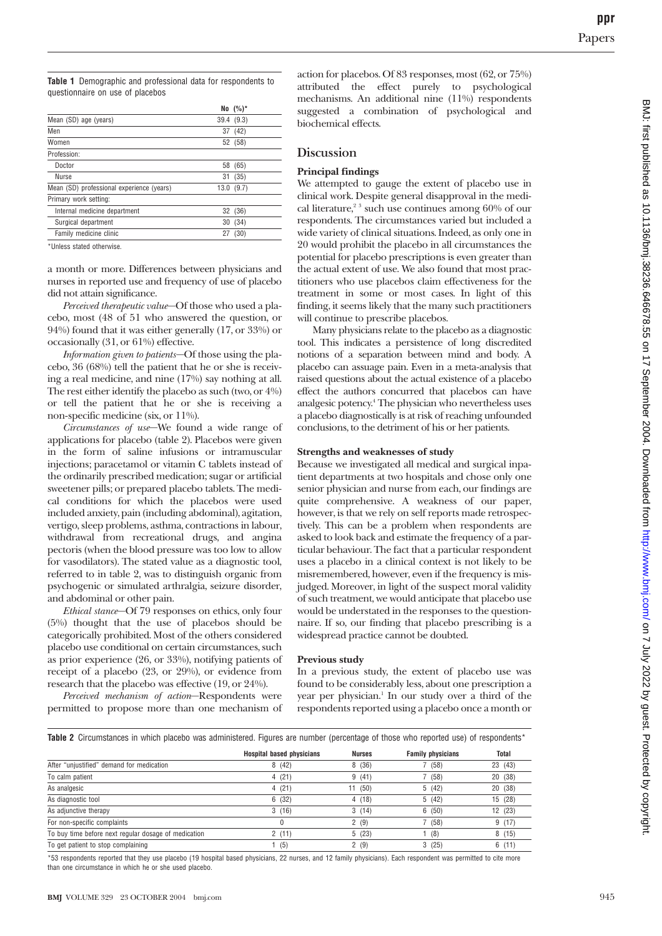**Table 1** Demographic and professional data for respondents to questionnaire on use of placebos

|                                           | No | $(%)^*$    |
|-------------------------------------------|----|------------|
| Mean (SD) age (years)                     |    | 39.4 (9.3) |
| Men                                       | 37 | (42)       |
| Women                                     |    | 52 (58)    |
| Profession:                               |    |            |
| Doctor                                    | 58 | (65)       |
| Nurse                                     | 31 | (35)       |
| Mean (SD) professional experience (years) |    | 13.0(9.7)  |
| Primary work setting:                     |    |            |
| Internal medicine department              |    | 32 (36)    |
| Surgical department                       | 30 | (34)       |
| Family medicine clinic                    | 27 | (30)       |
| *Unless stated otherwise.                 |    |            |

a month or more. Differences between physicians and nurses in reported use and frequency of use of placebo did not attain significance.

*Perceived therapeutic value*—Of those who used a placebo, most (48 of 51 who answered the question, or 94%) found that it was either generally (17, or 33%) or occasionally (31, or 61%) effective.

*Information given to patients*—Of those using the placebo, 36 (68%) tell the patient that he or she is receiving a real medicine, and nine (17%) say nothing at all. The rest either identify the placebo as such (two, or 4%) or tell the patient that he or she is receiving a non-specific medicine (six, or 11%).

*Circumstances of use*—We found a wide range of applications for placebo (table 2). Placebos were given in the form of saline infusions or intramuscular injections; paracetamol or vitamin C tablets instead of the ordinarily prescribed medication; sugar or artificial sweetener pills; or prepared placebo tablets. The medical conditions for which the placebos were used included anxiety, pain (including abdominal), agitation, vertigo, sleep problems, asthma, contractions in labour, withdrawal from recreational drugs, and angina pectoris (when the blood pressure was too low to allow for vasodilators). The stated value as a diagnostic tool, referred to in table 2, was to distinguish organic from psychogenic or simulated arthralgia, seizure disorder, and abdominal or other pain.

*Ethical stance*—Of 79 responses on ethics, only four (5%) thought that the use of placebos should be categorically prohibited. Most of the others considered placebo use conditional on certain circumstances, such as prior experience (26, or 33%), notifying patients of receipt of a placebo (23, or 29%), or evidence from research that the placebo was effective (19, or 24%).

*Perceived mechanism of action*—Respondents were permitted to propose more than one mechanism of

action for placebos. Of 83 responses, most (62, or 75%) attributed the effect purely to psychological mechanisms. An additional nine (11%) respondents suggested a combination of psychological and biochemical effects.

## **Discussion**

#### **Principal findings**

We attempted to gauge the extent of placebo use in clinical work. Despite general disapproval in the medical literature,<sup>23</sup> such use continues among  $60\%$  of our respondents. The circumstances varied but included a wide variety of clinical situations. Indeed, as only one in 20 would prohibit the placebo in all circumstances the potential for placebo prescriptions is even greater than the actual extent of use. We also found that most practitioners who use placebos claim effectiveness for the treatment in some or most cases. In light of this finding, it seems likely that the many such practitioners will continue to prescribe placebos.

Many physicians relate to the placebo as a diagnostic tool. This indicates a persistence of long discredited notions of a separation between mind and body. A placebo can assuage pain. Even in a meta-analysis that raised questions about the actual existence of a placebo effect the authors concurred that placebos can have analgesic potency.4 The physician who nevertheless uses a placebo diagnostically is at risk of reaching unfounded conclusions, to the detriment of his or her patients.

#### **Strengths and weaknesses of study**

Because we investigated all medical and surgical inpatient departments at two hospitals and chose only one senior physician and nurse from each, our findings are quite comprehensive. A weakness of our paper, however, is that we rely on self reports made retrospectively. This can be a problem when respondents are asked to look back and estimate the frequency of a particular behaviour. The fact that a particular respondent uses a placebo in a clinical context is not likely to be misremembered, however, even if the frequency is misjudged. Moreover, in light of the suspect moral validity of such treatment, we would anticipate that placebo use would be understated in the responses to the questionnaire. If so, our finding that placebo prescribing is a widespread practice cannot be doubted.

#### **Previous study**

In a previous study, the extent of placebo use was found to be considerably less, about one prescription a year per physician.<sup>1</sup> In our study over a third of the respondents reported using a placebo once a month or

| <b>Total</b><br><b>Family physicians</b> |  |  |  |  |  |
|------------------------------------------|--|--|--|--|--|
| 23 (43)<br>(58)                          |  |  |  |  |  |
| 20 (38)<br>(58)                          |  |  |  |  |  |
|                                          |  |  |  |  |  |

**Table 2** Circumstances in which placebo was administered. Figures are number (percentage of those who reported use) of respondents\*

| As analgesic                                         | 4 (21) | (50)   | 5 (42) | 20 (38) |
|------------------------------------------------------|--------|--------|--------|---------|
| As diagnostic tool                                   | 6(32)  | 4 (18) | 5(42)  | 15 (28) |
| As adjunctive therapy                                | 3(16)  | 3(14)  | 6(50)  | 12 (23) |
| For non-specific complaints                          |        | 2(9)   | (58)   | 9(17)   |
| To buy time before next regular dosage of medication | 2 (11) | 5(23)  | (8)    | 8(15)   |
| To get patient to stop complaining                   | (5)    | 2(9)   | 3(25)  | 6(11)   |

\*53 respondents reported that they use placebo (19 hospital based physicians, 22 nurses, and 12 family physicians). Each respondent was permitted to cite more than one circumstance in which he or she used placebo.